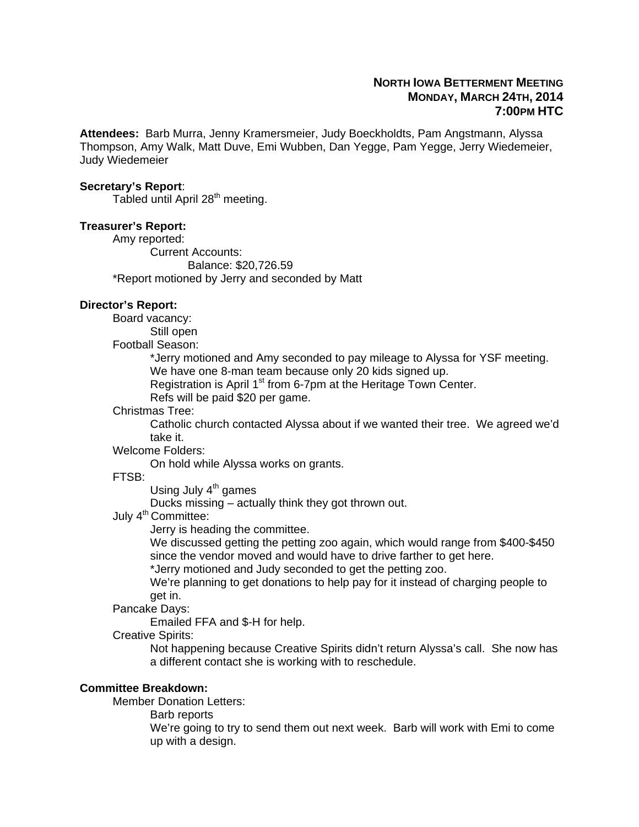# **NORTH IOWA BETTERMENT MEETING MONDAY, MARCH 24TH, 2014 7:00PM HTC**

**Attendees:** Barb Murra, Jenny Kramersmeier, Judy Boeckholdts, Pam Angstmann, Alyssa Thompson, Amy Walk, Matt Duve, Emi Wubben, Dan Yegge, Pam Yegge, Jerry Wiedemeier, Judy Wiedemeier

#### **Secretary's Report**:

Tabled until April 28<sup>th</sup> meeting.

### **Treasurer's Report:**

 Amy reported: Current Accounts: Balance: \$20,726.59 \*Report motioned by Jerry and seconded by Matt

### **Director's Report:**

Board vacancy:

Still open

Football Season:

\*Jerry motioned and Amy seconded to pay mileage to Alyssa for YSF meeting.

We have one 8-man team because only 20 kids signed up.

Registration is April  $1<sup>st</sup>$  from 6-7pm at the Heritage Town Center.

Refs will be paid \$20 per game.

#### Christmas Tree:

Catholic church contacted Alyssa about if we wanted their tree. We agreed we'd take it.

Welcome Folders:

On hold while Alyssa works on grants.

FTSB:

Using July  $4<sup>th</sup>$  games

Ducks missing – actually think they got thrown out.

July 4<sup>th</sup> Committee:

Jerry is heading the committee.

We discussed getting the petting zoo again, which would range from \$400-\$450 since the vendor moved and would have to drive farther to get here.

\*Jerry motioned and Judy seconded to get the petting zoo.

We're planning to get donations to help pay for it instead of charging people to get in.

Pancake Days:

Emailed FFA and \$-H for help.

Creative Spirits:

Not happening because Creative Spirits didn't return Alyssa's call. She now has a different contact she is working with to reschedule.

### **Committee Breakdown:**

Member Donation Letters:

Barb reports

We're going to try to send them out next week. Barb will work with Emi to come up with a design.